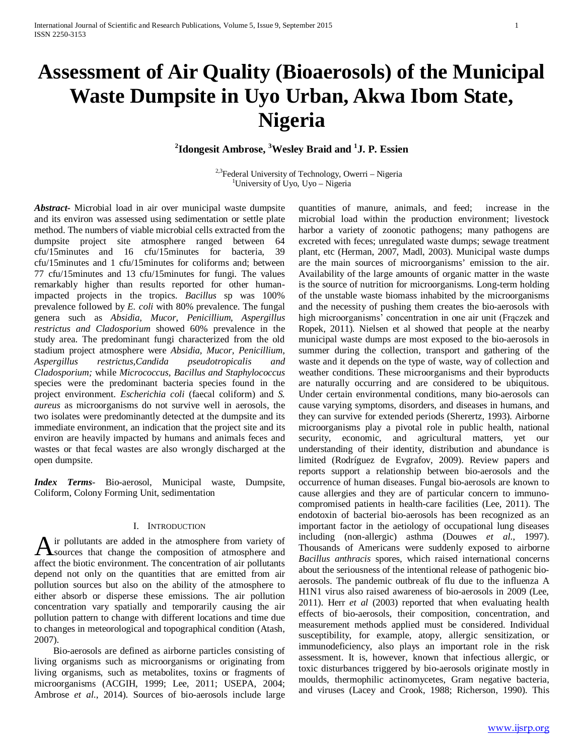# **Assessment of Air Quality (Bioaerosols) of the Municipal Waste Dumpsite in Uyo Urban, Akwa Ibom State, Nigeria**

# **2 Idongesit Ambrose, <sup>3</sup> Wesley Braid and <sup>1</sup> J. P. Essien**

<sup>2,3</sup>Federal University of Technology, Owerri – Nigeria University of Uyo, Uyo – Nigeria

*Abstract***-** Microbial load in air over municipal waste dumpsite and its environ was assessed using sedimentation or settle plate method. The numbers of viable microbial cells extracted from the dumpsite project site atmosphere ranged between 64 cfu/15minutes and 16 cfu/15minutes for bacteria, 39 cfu/15minutes and 1 cfu/15minutes for coliforms and; between 77 cfu/15minutes and 13 cfu/15minutes for fungi. The values remarkably higher than results reported for other humanimpacted projects in the tropics. *Bacillus* sp was 100% prevalence followed by *E. coli* with 80% prevalence. The fungal genera such as *Absidia, Mucor, Penicillium, Aspergillus restrictus and Cladosporium* showed 60% prevalence in the study area. The predominant fungi characterized from the old stadium project atmosphere were *Absidia, Mucor, Penicillium, Aspergillus restrictus,Candida pseudotropicalis and Cladosporium;* while *Micrococcus, Bacillus and Staphylococcus*  species were the predominant bacteria species found in the project environment. *Escherichia coli* (faecal coliform) and *S. aureus* as microorganisms do not survive well in aerosols, the two isolates were predominantly detected at the dumpsite and its immediate environment, an indication that the project site and its environ are heavily impacted by humans and animals feces and wastes or that fecal wastes are also wrongly discharged at the open dumpsite.

*Index Terms*- Bio-aerosol, Municipal waste, Dumpsite, Coliform, Colony Forming Unit, sedimentation

# I. INTRODUCTION

ir pollutants are added in the atmosphere from variety of A ir pollutants are added in the atmosphere from variety of sources that change the composition of atmosphere and affect the biotic environment. The concentration of air pollutants depend not only on the quantities that are emitted from air pollution sources but also on the ability of the atmosphere to either absorb or disperse these emissions. The air pollution concentration vary spatially and temporarily causing the air pollution pattern to change with different locations and time due to changes in meteorological and topographical condition (Atash, 2007).

 Bio-aerosols are defined as airborne particles consisting of living organisms such as microorganisms or originating from living organisms, such as metabolites, toxins or fragments of microorganisms (ACGIH, 1999; Lee, 2011; USEPA, 2004; Ambrose *et al*., 2014). Sources of bio-aerosols include large quantities of manure, animals, and feed; increase in the microbial load within the production environment; livestock harbor a variety of zoonotic pathogens; many pathogens are excreted with feces; unregulated waste dumps; sewage treatment plant, etc (Herman, 2007, Madl, 2003). Municipal waste dumps are the main sources of microorganisms' emission to the air. Availability of the large amounts of organic matter in the waste is the source of nutrition for microorganisms. Long-term holding of the unstable waste biomass inhabited by the microorganisms and the necessity of pushing them creates the bio-aerosols with high microorganisms' concentration in one air unit (Frączek and Ropek, 2011). Nielsen et al showed that people at the nearby municipal waste dumps are most exposed to the bio-aerosols in summer during the collection, transport and gathering of the waste and it depends on the type of waste, way of collection and weather conditions. These microorganisms and their byproducts are naturally occurring and are considered to be ubiquitous. Under certain environmental conditions, many bio-aerosols can cause varying symptoms, disorders, and diseases in humans, and they can survive for extended periods (Sherertz, 1993). Airborne microorganisms play a pivotal role in public health, national security, economic, and agricultural matters, yet our understanding of their identity, distribution and abundance is limited (Rodríguez de Evgrafov, 2009). Review papers and reports support a relationship between bio-aerosols and the occurrence of human diseases. Fungal bio-aerosols are known to cause allergies and they are of particular concern to immunocompromised patients in health-care facilities (Lee, 2011). The endotoxin of bacterial bio-aerosols has been recognized as an important factor in the aetiology of occupational lung diseases including (non-allergic) asthma (Douwes *et al*., 1997). Thousands of Americans were suddenly exposed to airborne *Bacillus anthracis* spores, which raised international concerns about the seriousness of the intentional release of pathogenic bioaerosols. The pandemic outbreak of flu due to the influenza A H1N1 virus also raised awareness of bio-aerosols in 2009 (Lee, 2011). Herr *et al* (2003) reported that when evaluating health effects of bio-aerosols, their composition, concentration, and measurement methods applied must be considered. Individual susceptibility, for example, atopy, allergic sensitization, or immunodeficiency, also plays an important role in the risk assessment. It is, however, known that infectious allergic, or toxic disturbances triggered by bio-aerosols originate mostly in moulds, thermophilic actinomycetes, Gram negative bacteria, and viruses (Lacey and Crook, 1988; Richerson, 1990). This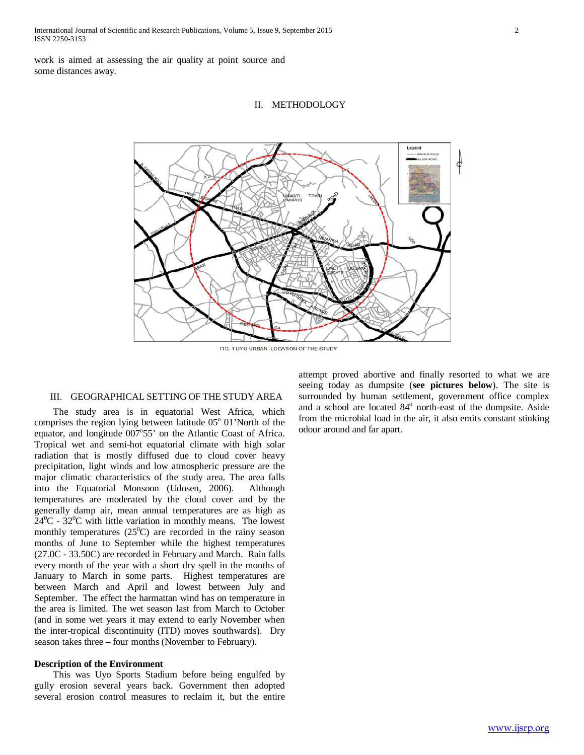work is aimed at assessing the air quality at point source and some distances away.

II. METHODOLOGY



FIG. 1 UYO URBAN - LOCATION OF THE STUDY

### III. GEOGRAPHICAL SETTING OF THE STUDY AREA

 The study area is in equatorial West Africa, which comprises the region lying between latitude  $05^{\circ}$  01'North of the equator, and longitude 007°55' on the Atlantic Coast of Africa. Tropical wet and semi-hot equatorial climate with high solar radiation that is mostly diffused due to cloud cover heavy precipitation, light winds and low atmospheric pressure are the major climatic characteristics of the study area. The area falls into the Equatorial Monsoon (Udosen, 2006). Although temperatures are moderated by the cloud cover and by the generally damp air, mean annual temperatures are as high as  $24^0C - 32^0C$  with little variation in monthly means. The lowest monthly temperatures  $(25^{\circ}C)$  are recorded in the rainy season months of June to September while the highest temperatures (27.0C - 33.50C) are recorded in February and March. Rain falls every month of the year with a short dry spell in the months of January to March in some parts. Highest temperatures are between March and April and lowest between July and September. The effect the harmattan wind has on temperature in the area is limited. The wet season last from March to October (and in some wet years it may extend to early November when the inter-tropical discontinuity (ITD) moves southwards). Dry season takes three – four months (November to February).

# **Description of the Environment**

 This was Uyo Sports Stadium before being engulfed by gully erosion several years back. Government then adopted several erosion control measures to reclaim it, but the entire attempt proved abortive and finally resorted to what we are seeing today as dumpsite (**see pictures below**). The site is surrounded by human settlement, government office complex and a school are located 84<sup>°</sup> north-east of the dumpsite. Aside from the microbial load in the air, it also emits constant stinking odour around and far apart.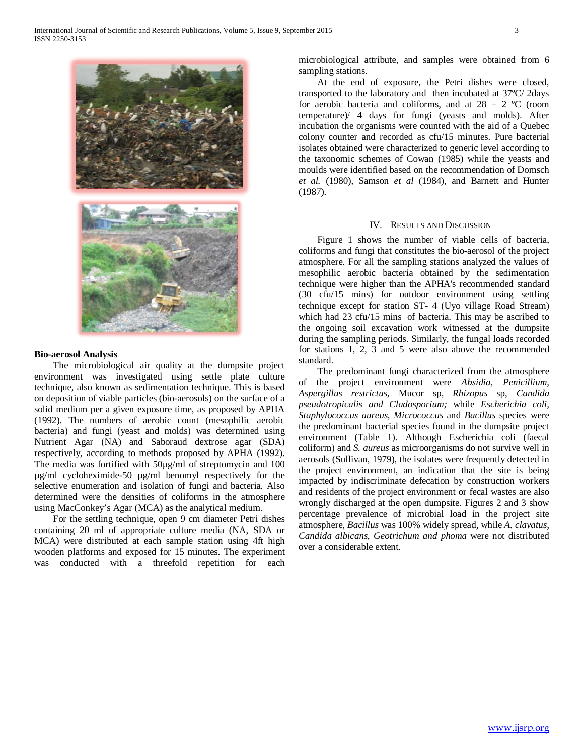

### **Bio-aerosol Analysis**

 The microbiological air quality at the dumpsite project environment was investigated using settle plate culture technique, also known as sedimentation technique. This is based on deposition of viable particles (bio-aerosols) on the surface of a solid medium per a given exposure time, as proposed by APHA (1992). The numbers of aerobic count (mesophilic aerobic bacteria) and fungi (yeast and molds) was determined using Nutrient Agar (NA) and Saboraud dextrose agar (SDA) respectively, according to methods proposed by APHA (1992). The media was fortified with 50µg/ml of streptomycin and 100 µg/ml cycloheximide-50 µg/ml benomyl respectively for the selective enumeration and isolation of fungi and bacteria. Also determined were the densities of coliforms in the atmosphere using MacConkey's Agar (MCA) as the analytical medium.

 For the settling technique, open 9 cm diameter Petri dishes containing 20 ml of appropriate culture media (NA, SDA or MCA) were distributed at each sample station using 4ft high wooden platforms and exposed for 15 minutes. The experiment was conducted with a threefold repetition for each microbiological attribute, and samples were obtained from 6 sampling stations.

 At the end of exposure, the Petri dishes were closed, transported to the laboratory and then incubated at 37ºC/ 2days for aerobic bacteria and coliforms, and at  $28 \pm 2$  °C (room temperature)/ 4 days for fungi (yeasts and molds). After incubation the organisms were counted with the aid of a Quebec colony counter and recorded as cfu/15 minutes. Pure bacterial isolates obtained were characterized to generic level according to the taxonomic schemes of Cowan (1985) while the yeasts and moulds were identified based on the recommendation of Domsch *et al.* (1980), Samson *et al* (1984)*,* and Barnett and Hunter (1987).

## IV. RESULTS AND DISCUSSION

 Figure 1 shows the number of viable cells of bacteria, coliforms and fungi that constitutes the bio-aerosol of the project atmosphere. For all the sampling stations analyzed the values of mesophilic aerobic bacteria obtained by the sedimentation technique were higher than the APHA's recommended standard (30 cfu/15 mins) for outdoor environment using settling technique except for station ST- 4 (Uyo village Road Stream) which had 23 cfu/15 mins of bacteria. This may be ascribed to the ongoing soil excavation work witnessed at the dumpsite during the sampling periods. Similarly, the fungal loads recorded for stations 1, 2, 3 and 5 were also above the recommended standard.

 The predominant fungi characterized from the atmosphere of the project environment were *Absidia, Penicillium, Aspergillus restrictus,* Mucor sp*, Rhizopus* sp, *Candida pseudotropicalis and Cladosporium;* while *Escherichia coli, Staphylococcus aureus, Micrococcus* and *Bacillus* species were the predominant bacterial species found in the dumpsite project environment (Table 1). Although Escherichia coli (faecal coliform) and *S. aureus* as microorganisms do not survive well in aerosols (Sullivan, 1979), the isolates were frequently detected in the project environment, an indication that the site is being impacted by indiscriminate defecation by construction workers and residents of the project environment or fecal wastes are also wrongly discharged at the open dumpsite. Figures 2 and 3 show percentage prevalence of microbial load in the project site atmosphere, *Bacillus* was 100% widely spread, while *A. clavatus, Candida albicans, Geotrichum and phoma* were not distributed over a considerable extent.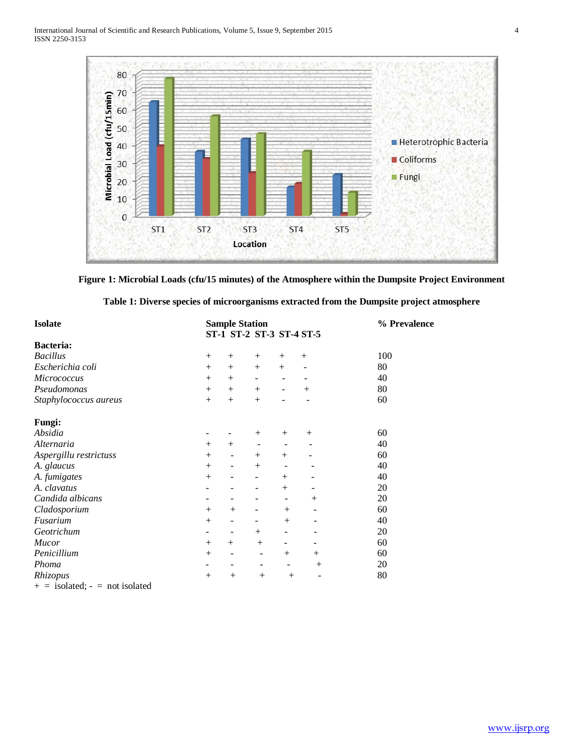

**Figure 1: Microbial Loads (cfu/15 minutes) of the Atmosphere within the Dumpsite Project Environment**

| <b>Isolate</b>                   | <b>Sample Station</b> | % Prevalence                 |                          |                              |        |     |  |
|----------------------------------|-----------------------|------------------------------|--------------------------|------------------------------|--------|-----|--|
|                                  |                       |                              | ST-1 ST-2 ST-3 ST-4 ST-5 |                              |        |     |  |
| <b>Bacteria:</b>                 |                       |                              |                          |                              |        |     |  |
| <b>Bacillus</b>                  | $^{+}$                | $^{+}$                       | $^{+}$                   | $^{+}$                       | $^{+}$ | 100 |  |
| Escherichia coli                 | $^{+}$                | $^{+}$                       | $^{+}$                   | $^{+}$                       |        | 80  |  |
| Micrococcus                      | $+$                   | $+$                          | $\overline{\phantom{a}}$ | $\qquad \qquad \blacksquare$ |        | 40  |  |
| Pseudomonas                      | $+$                   | $^{+}$                       | $^{+}$                   | $\qquad \qquad \blacksquare$ | $^{+}$ | 80  |  |
| Staphylococcus aureus            | $+$                   | $+$                          | $+$                      |                              |        | 60  |  |
| Fungi:                           |                       |                              |                          |                              |        |     |  |
| Absidia                          |                       |                              | $^{+}$                   | $^{+}$                       | $^{+}$ | 60  |  |
| Alternaria                       | $^{+}$                | $^{+}$                       | -                        |                              |        | 40  |  |
| Aspergillu restrictuss           | $^{+}$                | $\qquad \qquad \blacksquare$ | $+$                      | $^{+}$                       |        | 60  |  |
| A. glaucus                       | $+$                   | $\qquad \qquad \blacksquare$ | $+$                      |                              |        | 40  |  |
| A. fumigates                     | $+$                   | -                            | $\overline{\phantom{a}}$ | $^{+}$                       |        | 40  |  |
| A. clavatus                      |                       |                              | $\overline{\phantom{a}}$ | $+$                          |        | 20  |  |
| Candida albicans                 |                       |                              |                          | -                            | $^{+}$ | 20  |  |
| Cladosporium                     | $^{+}$                | $^{+}$                       | $\overline{\phantom{a}}$ | $^{+}$                       |        | 60  |  |
| Fusarium                         |                       | -                            | -                        | $^{+}$                       |        | 40  |  |
| Geotrichum                       |                       | -                            | $^{+}$                   | $\qquad \qquad \blacksquare$ |        | 20  |  |
| <b>Mucor</b>                     | $^{+}$                | $^{+}$                       | $^{+}$                   | ۰                            |        | 60  |  |
| Penicillium                      | $^{+}$                | -                            | ۰                        | $^{+}$                       | $^{+}$ | 60  |  |
| Phoma                            | -                     |                              | -                        | $\qquad \qquad \blacksquare$ | $^{+}$ | 20  |  |
| Rhizopus                         | $^{+}$                | $+$                          |                          | $+$                          |        | 80  |  |
| $+$ = isolated; - = not isolated |                       |                              |                          |                              |        |     |  |

|  | Table 1: Diverse species of microorganisms extracted from the Dumpsite project atmosphere |  |  |
|--|-------------------------------------------------------------------------------------------|--|--|
|  |                                                                                           |  |  |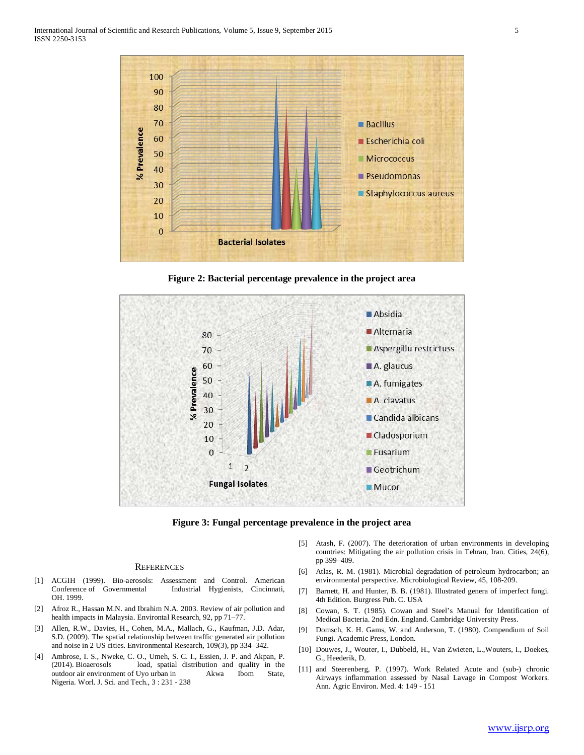

**Figure 2: Bacterial percentage prevalence in the project area**



**Figure 3: Fungal percentage prevalence in the project area**

#### **REFERENCES**

- [1] ACGIH (1999). Bio-aerosols: Assessment and Control. American Industrial Hygienists, Cincinnati, OH. 1999.
- [2] Afroz R., Hassan M.N. and Ibrahim N.A. 2003. Review of air pollution and health impacts in Malaysia. Environtal Research, 92, pp 71–77.
- [3] Allen, R.W., Davies, H., Cohen, M.A., Mallach, G., Kaufman, J.D. Adar, S.D. (2009). The spatial relationship between traffic generated air pollution and noise in 2 US cities. Environmental Research, 109(3), pp 334–342.
- [4] Ambrose, I. S., Nweke, C. O., Umeh, S. C. I., Essien, J. P. and Akpan, P. load, spatial distribution and quality in the outdoor air environment of Uyo urban in Akwa Ibom State, Nigeria. Worl. J. Sci. and Tech., 3 : 231 - 238
- [5] Atash, F. (2007). The deterioration of urban environments in developing countries: Mitigating the air pollution crisis in Tehran, Iran. Cities, 24(6), pp 399–409.
- [6] Atlas, R. M. (1981). Microbial degradation of petroleum hydrocarbon; an environmental perspective. Microbiological Review, 45, 108-209.
- [7] Barnett, H. and Hunter, B. B. (1981). Illustrated genera of imperfect fungi. 4th Edition. Burgress Pub. C. USA
- [8] Cowan, S. T. (1985). Cowan and Steel's Manual for Identification of Medical Bacteria. 2nd Edn. England. Cambridge University Press.
- [9] Domsch, K. H. Gams, W. and Anderson, T. (1980). Compendium of Soil Fungi. Academic Press, London.
- [10] Douwes, J., Wouter, I., Dubbeld, H., Van Zwieten, L.,Wouters, I., Doekes, G., Heederik, D.
- [11] and Steerenberg, P. (1997). Work Related Acute and (sub-) chronic Airways inflammation assessed by Nasal Lavage in Compost Workers. Ann. Agric Environ. Med. 4: 149 - 151